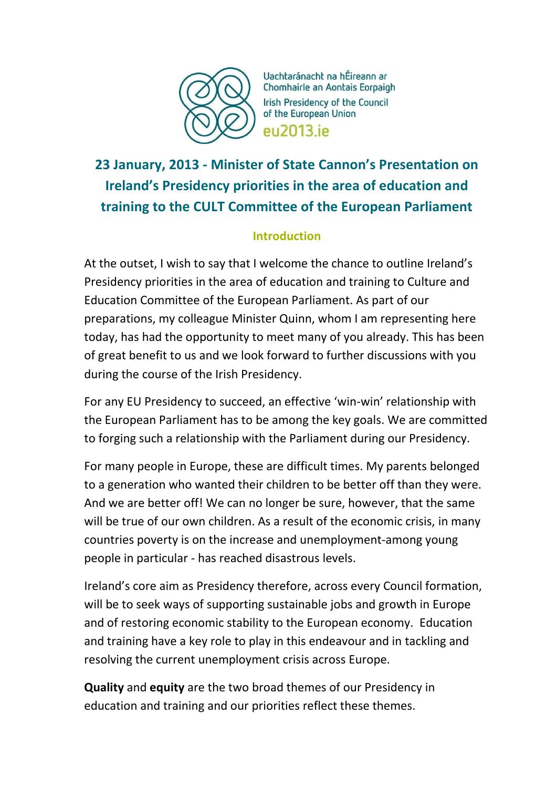

Uachtaránacht na hÉireann ar Chomhairle an Aontais Eorpaigh **Irish Presidency of the Council** of the European Union eu2013.ie

# **23 January, 2013 - Minister of State Cannon's Presentation on Ireland's Presidency priorities in the area of education and training to the CULT Committee of the European Parliament**

# **Introduction**

At the outset, I wish to say that I welcome the chance to outline Ireland's Presidency priorities in the area of education and training to Culture and Education Committee of the European Parliament. As part of our preparations, my colleague Minister Quinn, whom I am representing here today, has had the opportunity to meet many of you already. This has been of great benefit to us and we look forward to further discussions with you during the course of the Irish Presidency.

For any EU Presidency to succeed, an effective 'win-win' relationship with the European Parliament has to be among the key goals. We are committed to forging such a relationship with the Parliament during our Presidency.

For many people in Europe, these are difficult times. My parents belonged to a generation who wanted their children to be better off than they were. And we are better off! We can no longer be sure, however, that the same will be true of our own children. As a result of the economic crisis, in many countries poverty is on the increase and unemployment-among young people in particular - has reached disastrous levels.

Ireland's core aim as Presidency therefore, across every Council formation, will be to seek ways of supporting sustainable jobs and growth in Europe and of restoring economic stability to the European economy. Education and training have a key role to play in this endeavour and in tackling and resolving the current unemployment crisis across Europe.

**Quality** and **equity** are the two broad themes of our Presidency in education and training and our priorities reflect these themes.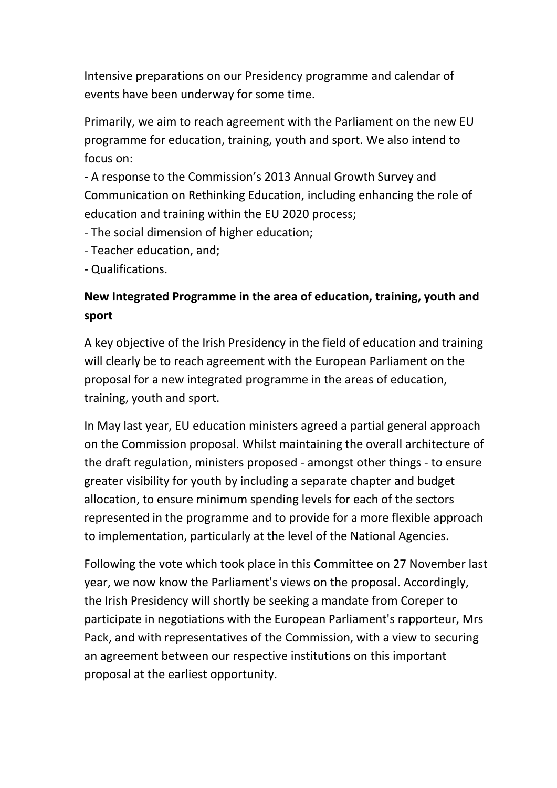Intensive preparations on our Presidency programme and calendar of events have been underway for some time.

Primarily, we aim to reach agreement with the Parliament on the new EU programme for education, training, youth and sport. We also intend to focus on:

- A response to the Commission's 2013 Annual Growth Survey and Communication on Rethinking Education, including enhancing the role of education and training within the EU 2020 process;

- The social dimension of higher education;

- Teacher education, and;

- Qualifications.

# **New Integrated Programme in the area of education, training, youth and sport**

A key objective of the Irish Presidency in the field of education and training will clearly be to reach agreement with the European Parliament on the proposal for a new integrated programme in the areas of education, training, youth and sport.

In May last year, EU education ministers agreed a partial general approach on the Commission proposal. Whilst maintaining the overall architecture of the draft regulation, ministers proposed - amongst other things - to ensure greater visibility for youth by including a separate chapter and budget allocation, to ensure minimum spending levels for each of the sectors represented in the programme and to provide for a more flexible approach to implementation, particularly at the level of the National Agencies.

Following the vote which took place in this Committee on 27 November last year, we now know the Parliament's views on the proposal. Accordingly, the Irish Presidency will shortly be seeking a mandate from Coreper to participate in negotiations with the European Parliament's rapporteur, Mrs Pack, and with representatives of the Commission, with a view to securing an agreement between our respective institutions on this important proposal at the earliest opportunity.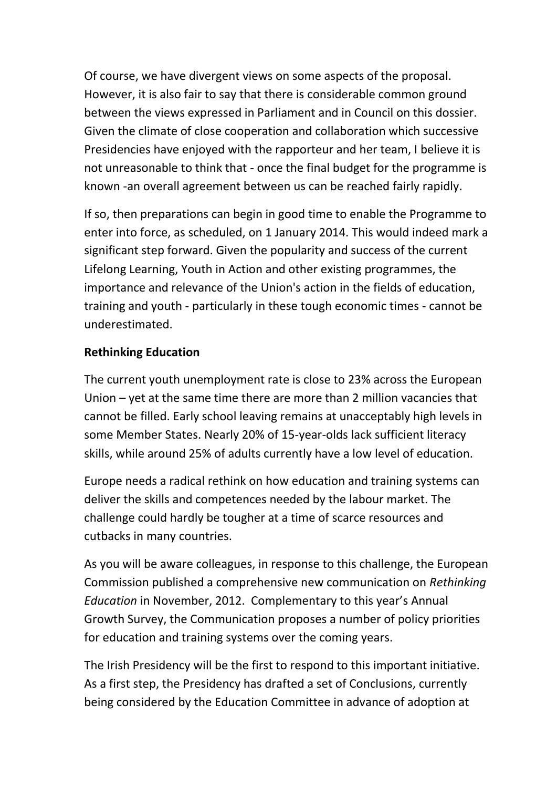Of course, we have divergent views on some aspects of the proposal. However, it is also fair to say that there is considerable common ground between the views expressed in Parliament and in Council on this dossier. Given the climate of close cooperation and collaboration which successive Presidencies have enjoyed with the rapporteur and her team, I believe it is not unreasonable to think that - once the final budget for the programme is known -an overall agreement between us can be reached fairly rapidly.

If so, then preparations can begin in good time to enable the Programme to enter into force, as scheduled, on 1 January 2014. This would indeed mark a significant step forward. Given the popularity and success of the current Lifelong Learning, Youth in Action and other existing programmes, the importance and relevance of the Union's action in the fields of education, training and youth - particularly in these tough economic times - cannot be underestimated.

### **Rethinking Education**

The current youth unemployment rate is close to 23% across the European Union – yet at the same time there are more than 2 million vacancies that cannot be filled. Early school leaving remains at unacceptably high levels in some Member States. Nearly 20% of 15-year-olds lack sufficient literacy skills, while around 25% of adults currently have a low level of education.

Europe needs a radical rethink on how education and training systems can deliver the skills and competences needed by the labour market. The challenge could hardly be tougher at a time of scarce resources and cutbacks in many countries.

As you will be aware colleagues, in response to this challenge, the European Commission published a comprehensive new communication on *Rethinking Education* in November, 2012. Complementary to this year's Annual Growth Survey, the Communication proposes a number of policy priorities for education and training systems over the coming years.

The Irish Presidency will be the first to respond to this important initiative. As a first step, the Presidency has drafted a set of Conclusions, currently being considered by the Education Committee in advance of adoption at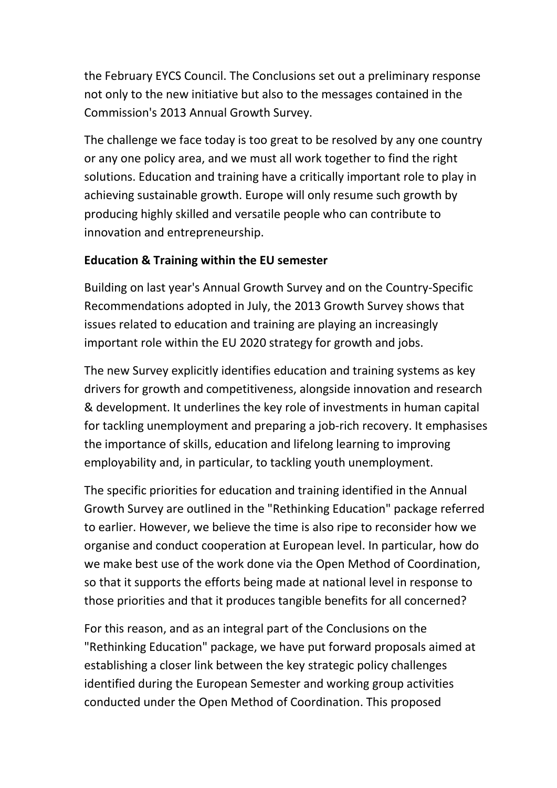the February EYCS Council. The Conclusions set out a preliminary response not only to the new initiative but also to the messages contained in the Commission's 2013 Annual Growth Survey.

The challenge we face today is too great to be resolved by any one country or any one policy area, and we must all work together to find the right solutions. Education and training have a critically important role to play in achieving sustainable growth. Europe will only resume such growth by producing highly skilled and versatile people who can contribute to innovation and entrepreneurship.

# **Education & Training within the EU semester**

Building on last year's Annual Growth Survey and on the Country-Specific Recommendations adopted in July, the 2013 Growth Survey shows that issues related to education and training are playing an increasingly important role within the EU 2020 strategy for growth and jobs.

The new Survey explicitly identifies education and training systems as key drivers for growth and competitiveness, alongside innovation and research & development. It underlines the key role of investments in human capital for tackling unemployment and preparing a job-rich recovery. It emphasises the importance of skills, education and lifelong learning to improving employability and, in particular, to tackling youth unemployment.

The specific priorities for education and training identified in the Annual Growth Survey are outlined in the "Rethinking Education" package referred to earlier. However, we believe the time is also ripe to reconsider how we organise and conduct cooperation at European level. In particular, how do we make best use of the work done via the Open Method of Coordination, so that it supports the efforts being made at national level in response to those priorities and that it produces tangible benefits for all concerned?

For this reason, and as an integral part of the Conclusions on the "Rethinking Education" package, we have put forward proposals aimed at establishing a closer link between the key strategic policy challenges identified during the European Semester and working group activities conducted under the Open Method of Coordination. This proposed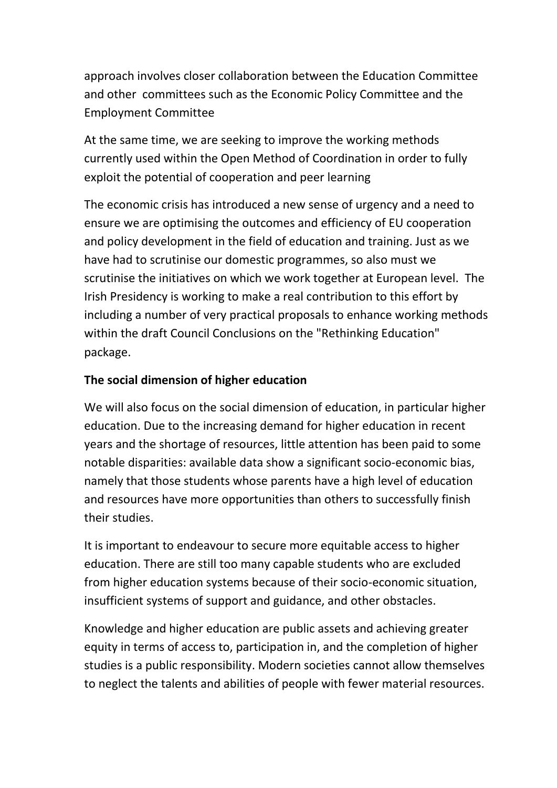approach involves closer collaboration between the Education Committee and other committees such as the Economic Policy Committee and the Employment Committee

At the same time, we are seeking to improve the working methods currently used within the Open Method of Coordination in order to fully exploit the potential of cooperation and peer learning

The economic crisis has introduced a new sense of urgency and a need to ensure we are optimising the outcomes and efficiency of EU cooperation and policy development in the field of education and training. Just as we have had to scrutinise our domestic programmes, so also must we scrutinise the initiatives on which we work together at European level. The Irish Presidency is working to make a real contribution to this effort by including a number of very practical proposals to enhance working methods within the draft Council Conclusions on the "Rethinking Education" package.

### **The social dimension of higher education**

We will also focus on the social dimension of education, in particular higher education. Due to the increasing demand for higher education in recent years and the shortage of resources, little attention has been paid to some notable disparities: available data show a significant socio-economic bias, namely that those students whose parents have a high level of education and resources have more opportunities than others to successfully finish their studies.

It is important to endeavour to secure more equitable access to higher education. There are still too many capable students who are excluded from higher education systems because of their socio-economic situation, insufficient systems of support and guidance, and other obstacles.

Knowledge and higher education are public assets and achieving greater equity in terms of access to, participation in, and the completion of higher studies is a public responsibility. Modern societies cannot allow themselves to neglect the talents and abilities of people with fewer material resources.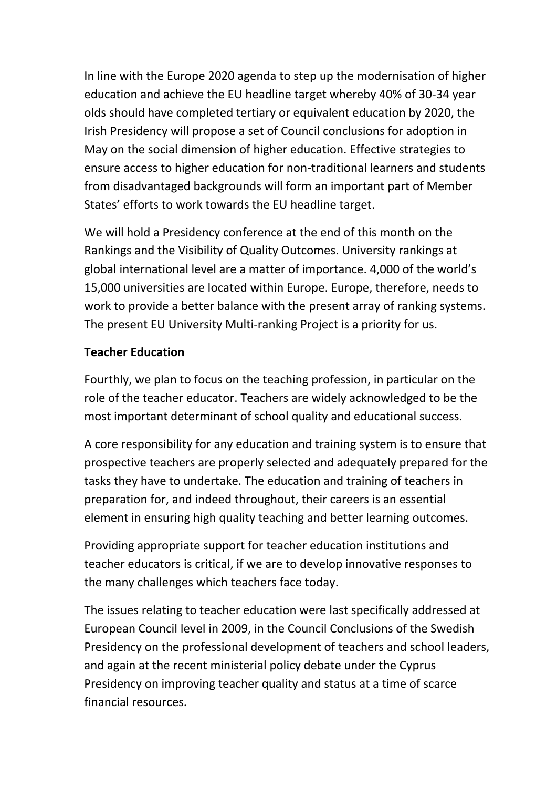In line with the Europe 2020 agenda to step up the modernisation of higher education and achieve the EU headline target whereby 40% of 30-34 year olds should have completed tertiary or equivalent education by 2020, the Irish Presidency will propose a set of Council conclusions for adoption in May on the social dimension of higher education. Effective strategies to ensure access to higher education for non-traditional learners and students from disadvantaged backgrounds will form an important part of Member States' efforts to work towards the EU headline target.

We will hold a Presidency conference at the end of this month on the Rankings and the Visibility of Quality Outcomes. University rankings at global international level are a matter of importance. 4,000 of the world's 15,000 universities are located within Europe. Europe, therefore, needs to work to provide a better balance with the present array of ranking systems. The present EU University Multi-ranking Project is a priority for us.

### **Teacher Education**

Fourthly, we plan to focus on the teaching profession, in particular on the role of the teacher educator. Teachers are widely acknowledged to be the most important determinant of school quality and educational success.

A core responsibility for any education and training system is to ensure that prospective teachers are properly selected and adequately prepared for the tasks they have to undertake. The education and training of teachers in preparation for, and indeed throughout, their careers is an essential element in ensuring high quality teaching and better learning outcomes.

Providing appropriate support for teacher education institutions and teacher educators is critical, if we are to develop innovative responses to the many challenges which teachers face today.

The issues relating to teacher education were last specifically addressed at European Council level in 2009, in the Council Conclusions of the Swedish Presidency on the professional development of teachers and school leaders, and again at the recent ministerial policy debate under the Cyprus Presidency on improving teacher quality and status at a time of scarce financial resources.